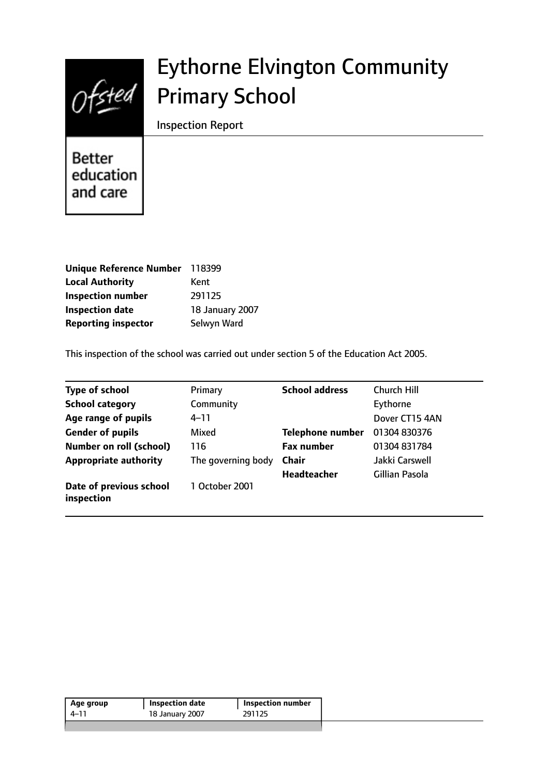

# Eythorne Elvington Community Primary School

Inspection Report

Better education and care

| Unique Reference Number    | 118399          |
|----------------------------|-----------------|
| <b>Local Authority</b>     | Kent            |
| <b>Inspection number</b>   | 291125          |
| <b>Inspection date</b>     | 18 January 2007 |
| <b>Reporting inspector</b> | Selwyn Ward     |

This inspection of the school was carried out under section 5 of the Education Act 2005.

| <b>Type of school</b>                 | Primary            | <b>School address</b>   | <b>Church Hill</b> |
|---------------------------------------|--------------------|-------------------------|--------------------|
| <b>School category</b>                | Community          |                         | Eythorne           |
| Age range of pupils                   | 4–11               |                         | Dover CT15 4AN     |
| <b>Gender of pupils</b>               | Mixed              | <b>Telephone number</b> | 01304 830376       |
| Number on roll (school)               | 116                | <b>Fax number</b>       | 01304 831784       |
| <b>Appropriate authority</b>          | The governing body | <b>Chair</b>            | Jakki Carswell     |
|                                       |                    | <b>Headteacher</b>      | Gillian Pasola     |
| Date of previous school<br>inspection | 1 October 2001     |                         |                    |

| Age group | <b>Inspection date</b> | <b>Inspection number</b> |
|-----------|------------------------|--------------------------|
| $4 - 11$  | 18 January 2007        | 291125                   |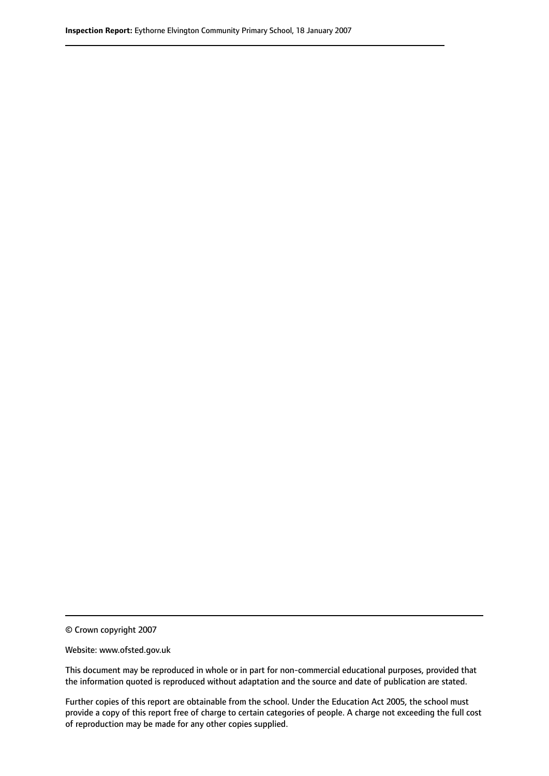© Crown copyright 2007

Website: www.ofsted.gov.uk

This document may be reproduced in whole or in part for non-commercial educational purposes, provided that the information quoted is reproduced without adaptation and the source and date of publication are stated.

Further copies of this report are obtainable from the school. Under the Education Act 2005, the school must provide a copy of this report free of charge to certain categories of people. A charge not exceeding the full cost of reproduction may be made for any other copies supplied.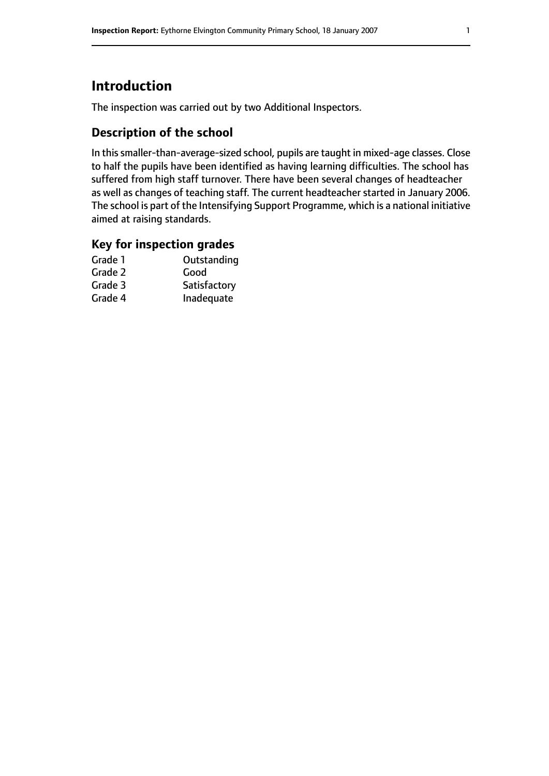# **Introduction**

The inspection was carried out by two Additional Inspectors.

#### **Description of the school**

In this smaller-than-average-sized school, pupils are taught in mixed-age classes. Close to half the pupils have been identified as having learning difficulties. The school has suffered from high staff turnover. There have been several changes of headteacher as well as changes of teaching staff. The current headteacher started in January 2006. The school is part of the Intensifying Support Programme, which is a national initiative aimed at raising standards.

#### **Key for inspection grades**

| Outstanding  |
|--------------|
| Good         |
| Satisfactory |
| Inadequate   |
|              |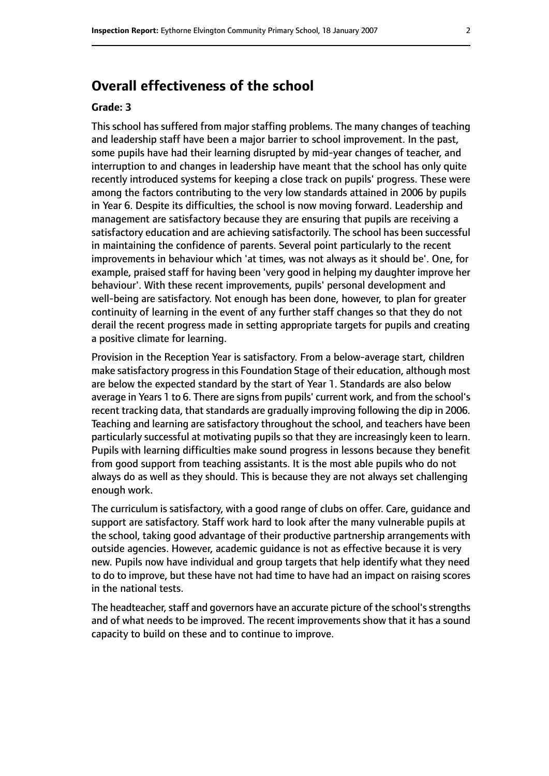# **Overall effectiveness of the school**

#### **Grade: 3**

This school has suffered from major staffing problems. The many changes of teaching and leadership staff have been a major barrier to school improvement. In the past, some pupils have had their learning disrupted by mid-year changes of teacher, and interruption to and changes in leadership have meant that the school has only quite recently introduced systems for keeping a close track on pupils' progress. These were among the factors contributing to the very low standards attained in 2006 by pupils in Year 6. Despite its difficulties, the school is now moving forward. Leadership and management are satisfactory because they are ensuring that pupils are receiving a satisfactory education and are achieving satisfactorily. The school has been successful in maintaining the confidence of parents. Several point particularly to the recent improvements in behaviour which 'at times, was not always as it should be'. One, for example, praised staff for having been 'very good in helping my daughter improve her behaviour'. With these recent improvements, pupils' personal development and well-being are satisfactory. Not enough has been done, however, to plan for greater continuity of learning in the event of any further staff changes so that they do not derail the recent progress made in setting appropriate targets for pupils and creating a positive climate for learning.

Provision in the Reception Year is satisfactory. From a below-average start, children make satisfactory progress in this Foundation Stage of their education, although most are below the expected standard by the start of Year 1. Standards are also below average in Years 1 to 6. There are signs from pupils' current work, and from the school's recent tracking data, that standards are gradually improving following the dip in 2006. Teaching and learning are satisfactory throughout the school, and teachers have been particularly successful at motivating pupils so that they are increasingly keen to learn. Pupils with learning difficulties make sound progress in lessons because they benefit from good support from teaching assistants. It is the most able pupils who do not always do as well as they should. This is because they are not always set challenging enough work.

The curriculum is satisfactory, with a good range of clubs on offer. Care, guidance and support are satisfactory. Staff work hard to look after the many vulnerable pupils at the school, taking good advantage of their productive partnership arrangements with outside agencies. However, academic guidance is not as effective because it is very new. Pupils now have individual and group targets that help identify what they need to do to improve, but these have not had time to have had an impact on raising scores in the national tests.

The headteacher, staff and governors have an accurate picture of the school's strengths and of what needs to be improved. The recent improvements show that it has a sound capacity to build on these and to continue to improve.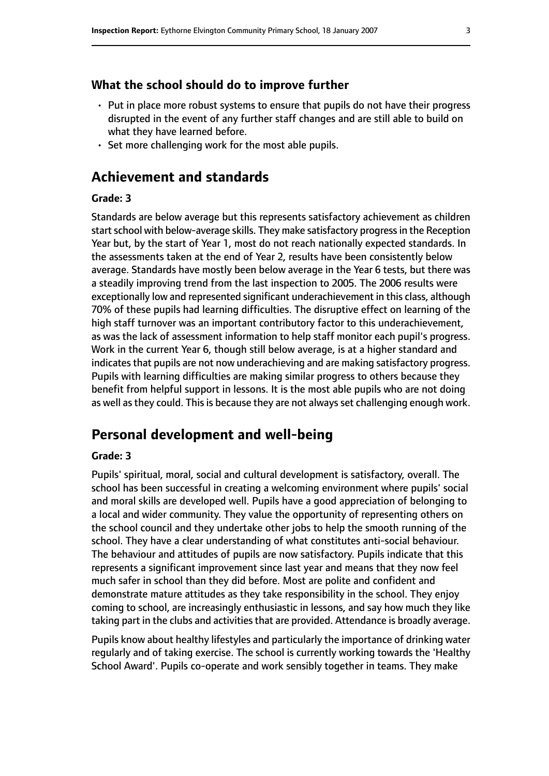#### **What the school should do to improve further**

- Put in place more robust systems to ensure that pupils do not have their progress disrupted in the event of any further staff changes and are still able to build on what they have learned before.
- Set more challenging work for the most able pupils.

### **Achievement and standards**

#### **Grade: 3**

Standards are below average but this represents satisfactory achievement as children start school with below-average skills. They make satisfactory progress in the Reception Year but, by the start of Year 1, most do not reach nationally expected standards. In the assessments taken at the end of Year 2, results have been consistently below average. Standards have mostly been below average in the Year 6 tests, but there was a steadily improving trend from the last inspection to 2005. The 2006 results were exceptionally low and represented significant underachievement in this class, although 70% of these pupils had learning difficulties. The disruptive effect on learning of the high staff turnover was an important contributory factor to this underachievement, as was the lack of assessment information to help staff monitor each pupil's progress. Work in the current Year 6, though still below average, is at a higher standard and indicates that pupils are not now underachieving and are making satisfactory progress. Pupils with learning difficulties are making similar progress to others because they benefit from helpful support in lessons. It is the most able pupils who are not doing as well as they could. This is because they are not always set challenging enough work.

#### **Personal development and well-being**

#### **Grade: 3**

Pupils' spiritual, moral, social and cultural development is satisfactory, overall. The school has been successful in creating a welcoming environment where pupils' social and moral skills are developed well. Pupils have a good appreciation of belonging to a local and wider community. They value the opportunity of representing others on the school council and they undertake other jobs to help the smooth running of the school. They have a clear understanding of what constitutes anti-social behaviour. The behaviour and attitudes of pupils are now satisfactory. Pupils indicate that this represents a significant improvement since last year and means that they now feel much safer in school than they did before. Most are polite and confident and demonstrate mature attitudes as they take responsibility in the school. They enjoy coming to school, are increasingly enthusiastic in lessons, and say how much they like taking part in the clubs and activities that are provided. Attendance is broadly average.

Pupils know about healthy lifestyles and particularly the importance of drinking water regularly and of taking exercise. The school is currently working towards the 'Healthy School Award'. Pupils co-operate and work sensibly together in teams. They make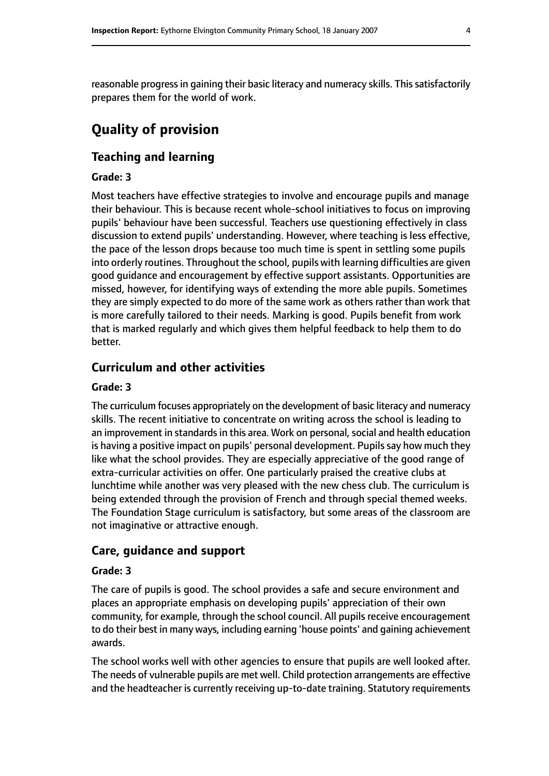reasonable progress in gaining their basic literacy and numeracy skills. This satisfactorily prepares them for the world of work.

# **Quality of provision**

### **Teaching and learning**

#### **Grade: 3**

Most teachers have effective strategies to involve and encourage pupils and manage their behaviour. This is because recent whole-school initiatives to focus on improving pupils' behaviour have been successful. Teachers use questioning effectively in class discussion to extend pupils' understanding. However, where teaching is less effective, the pace of the lesson drops because too much time is spent in settling some pupils into orderly routines. Throughout the school, pupils with learning difficulties are given good guidance and encouragement by effective support assistants. Opportunities are missed, however, for identifying ways of extending the more able pupils. Sometimes they are simply expected to do more of the same work as others rather than work that is more carefully tailored to their needs. Marking is good. Pupils benefit from work that is marked regularly and which gives them helpful feedback to help them to do better.

#### **Curriculum and other activities**

#### **Grade: 3**

The curriculum focuses appropriately on the development of basic literacy and numeracy skills. The recent initiative to concentrate on writing across the school is leading to an improvement in standards in this area. Work on personal, social and health education is having a positive impact on pupils' personal development. Pupils say how much they like what the school provides. They are especially appreciative of the good range of extra-curricular activities on offer. One particularly praised the creative clubs at lunchtime while another was very pleased with the new chess club. The curriculum is being extended through the provision of French and through special themed weeks. The Foundation Stage curriculum is satisfactory, but some areas of the classroom are not imaginative or attractive enough.

#### **Care, guidance and support**

#### **Grade: 3**

The care of pupils is good. The school provides a safe and secure environment and places an appropriate emphasis on developing pupils' appreciation of their own community, for example, through the school council. All pupils receive encouragement to do their best in many ways, including earning 'house points' and gaining achievement awards.

The school works well with other agencies to ensure that pupils are well looked after. The needs of vulnerable pupils are met well. Child protection arrangements are effective and the headteacher is currently receiving up-to-date training. Statutory requirements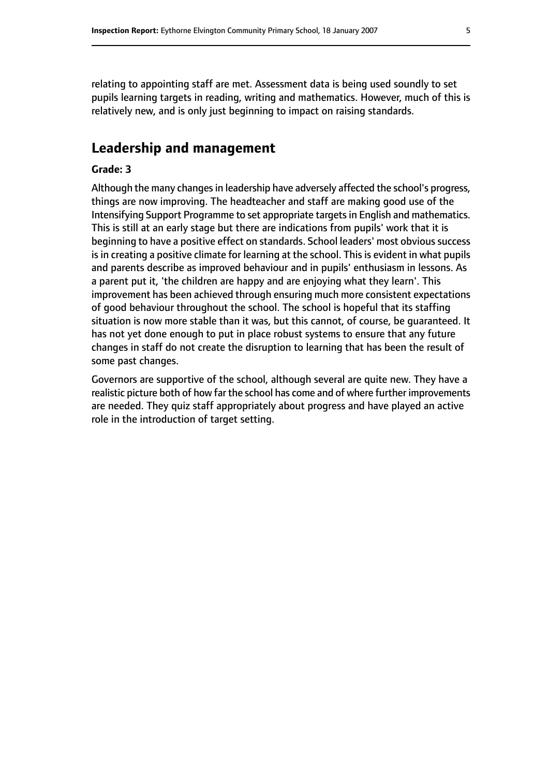relating to appointing staff are met. Assessment data is being used soundly to set pupils learning targets in reading, writing and mathematics. However, much of this is relatively new, and is only just beginning to impact on raising standards.

# **Leadership and management**

#### **Grade: 3**

Although the many changes in leadership have adversely affected the school's progress, things are now improving. The headteacher and staff are making good use of the Intensifying Support Programme to set appropriate targetsin English and mathematics. This is still at an early stage but there are indications from pupils' work that it is beginning to have a positive effect on standards. School leaders' most obvious success is in creating a positive climate for learning at the school. This is evident in what pupils and parents describe as improved behaviour and in pupils' enthusiasm in lessons. As a parent put it, 'the children are happy and are enjoying what they learn'. This improvement has been achieved through ensuring much more consistent expectations of good behaviour throughout the school. The school is hopeful that its staffing situation is now more stable than it was, but this cannot, of course, be guaranteed. It has not yet done enough to put in place robust systems to ensure that any future changes in staff do not create the disruption to learning that has been the result of some past changes.

Governors are supportive of the school, although several are quite new. They have a realistic picture both of how far the school has come and of where further improvements are needed. They quiz staff appropriately about progress and have played an active role in the introduction of target setting.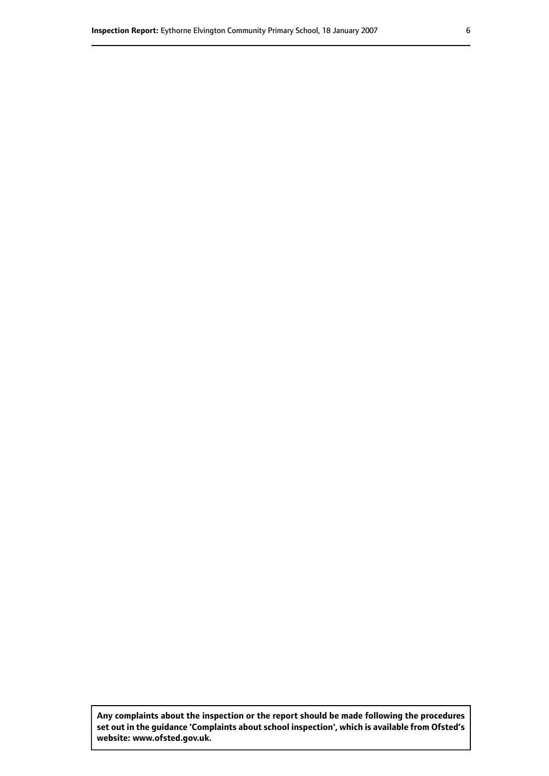**Any complaints about the inspection or the report should be made following the procedures set out inthe guidance 'Complaints about school inspection', whichis available from Ofsted's website: www.ofsted.gov.uk.**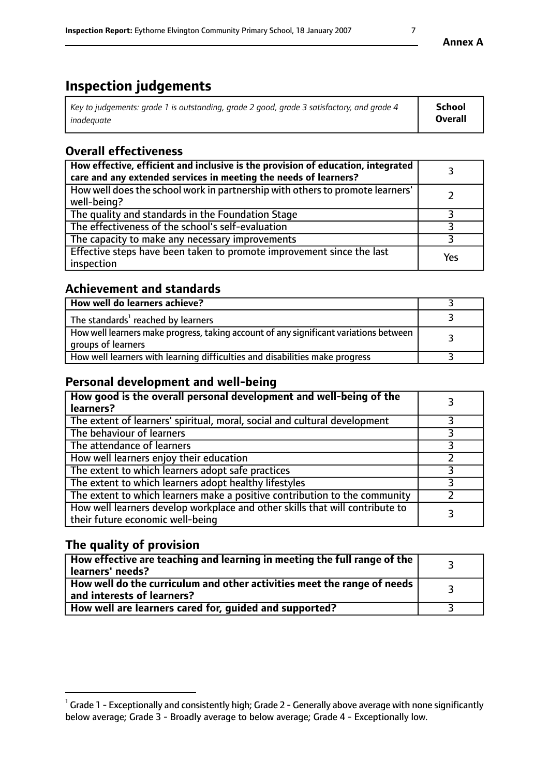# **Inspection judgements**

| Key to judgements: grade 1 is outstanding, grade 2 good, grade 3 satisfactory, and grade 4 | <b>School</b>  |
|--------------------------------------------------------------------------------------------|----------------|
| inadeauate                                                                                 | <b>Overall</b> |

# **Overall effectiveness**

| How effective, efficient and inclusive is the provision of education, integrated<br>care and any extended services in meeting the needs of learners? |     |
|------------------------------------------------------------------------------------------------------------------------------------------------------|-----|
| How well does the school work in partnership with others to promote learners'<br>well-being?                                                         |     |
| The quality and standards in the Foundation Stage                                                                                                    |     |
| The effectiveness of the school's self-evaluation                                                                                                    |     |
| The capacity to make any necessary improvements                                                                                                      |     |
| Effective steps have been taken to promote improvement since the last<br>inspection                                                                  | Yes |

## **Achievement and standards**

| How well do learners achieve?                                                                               |  |
|-------------------------------------------------------------------------------------------------------------|--|
| The standards <sup>1</sup> reached by learners                                                              |  |
| How well learners make progress, taking account of any significant variations between<br>groups of learners |  |
| How well learners with learning difficulties and disabilities make progress                                 |  |

## **Personal development and well-being**

| How good is the overall personal development and well-being of the<br>learners?                                  |  |
|------------------------------------------------------------------------------------------------------------------|--|
| The extent of learners' spiritual, moral, social and cultural development                                        |  |
| The behaviour of learners                                                                                        |  |
| The attendance of learners                                                                                       |  |
| How well learners enjoy their education                                                                          |  |
| The extent to which learners adopt safe practices                                                                |  |
| The extent to which learners adopt healthy lifestyles                                                            |  |
| The extent to which learners make a positive contribution to the community                                       |  |
| How well learners develop workplace and other skills that will contribute to<br>their future economic well-being |  |

# **The quality of provision**

| How effective are teaching and learning in meeting the full range of the<br>learners' needs?          |  |
|-------------------------------------------------------------------------------------------------------|--|
| How well do the curriculum and other activities meet the range of needs<br>and interests of learners? |  |
| How well are learners cared for, guided and supported?                                                |  |

 $^1$  Grade 1 - Exceptionally and consistently high; Grade 2 - Generally above average with none significantly below average; Grade 3 - Broadly average to below average; Grade 4 - Exceptionally low.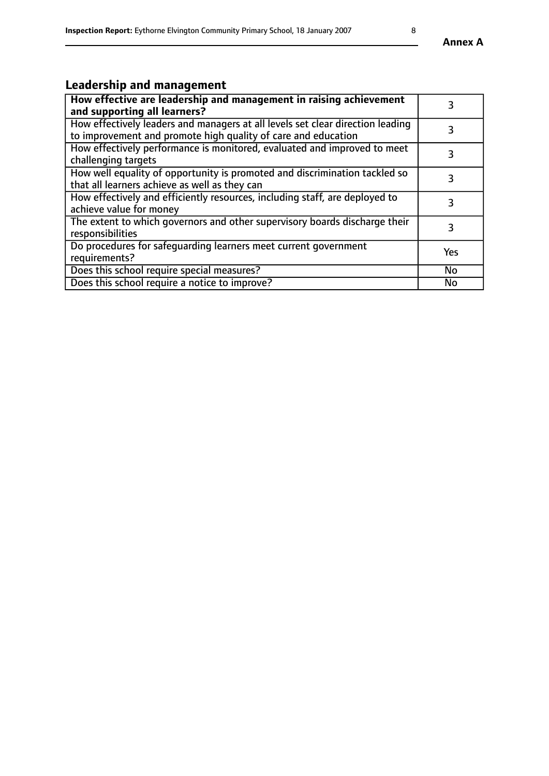# **Leadership and management**

| How effective are leadership and management in raising achievement<br>and supporting all learners?                                              | 3         |
|-------------------------------------------------------------------------------------------------------------------------------------------------|-----------|
| How effectively leaders and managers at all levels set clear direction leading<br>to improvement and promote high quality of care and education |           |
| How effectively performance is monitored, evaluated and improved to meet<br>challenging targets                                                 | 3         |
| How well equality of opportunity is promoted and discrimination tackled so<br>that all learners achieve as well as they can                     |           |
| How effectively and efficiently resources, including staff, are deployed to<br>achieve value for money                                          | 3         |
| The extent to which governors and other supervisory boards discharge their<br>responsibilities                                                  | 3         |
| Do procedures for safeguarding learners meet current government<br>requirements?                                                                | Yes       |
| Does this school require special measures?                                                                                                      | <b>No</b> |
| Does this school require a notice to improve?                                                                                                   | <b>No</b> |